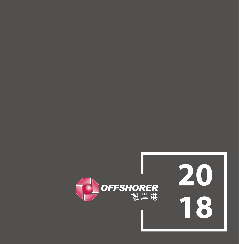

##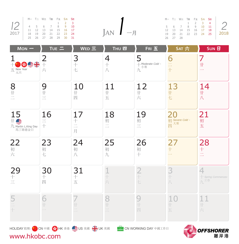|                                                                                                                       | $M - T = W \equiv T \equiv F \pm S \star S \equiv$ |  |  |  |                | M- T= W= |                     |  |
|-----------------------------------------------------------------------------------------------------------------------|----------------------------------------------------|--|--|--|----------------|----------|---------------------|--|
| $12 \begin{array}{ rrrrrrrr} 1 & 2 & 3 \\ 4 & 5 & 6 & 7 & 8 & 9 & 10 \\ 11 & 12 & 13 & 14 & 15 & 16 & 17 \end{array}$ |                                                    |  |  |  |                |          |                     |  |
|                                                                                                                       |                                                    |  |  |  |                |          | 5 6 7<br>12  13  14 |  |
| 2017   18 19 20 21 22 23 24                                                                                           |                                                    |  |  |  | $JAN$ $-\beta$ | 19 20 21 |                     |  |
|                                                                                                                       | 25 26 27 28 29 30 31                               |  |  |  |                |          | 26 27 28            |  |
|                                                                                                                       |                                                    |  |  |  |                |          |                     |  |

|  | M-T=W=TmgFi S <del>A</del> SH |  |                     |  |                                 |  |          | M-T= W= TEI Fili SA SEI |  |                      |                                          |
|--|-------------------------------|--|---------------------|--|---------------------------------|--|----------|-------------------------|--|----------------------|------------------------------------------|
|  |                               |  | $1 \quad 2 \quad 3$ |  |                                 |  |          |                         |  |                      | $1 \quad 2 \quad 3 \quad 4 \quad \frown$ |
|  | 4 5 6 7 8 9 10                |  |                     |  |                                 |  |          |                         |  |                      | 5 6 7 8 9 10 11                          |
|  | 11 12 13 14 15 16 17          |  |                     |  |                                 |  |          |                         |  | 12 13 14 15 16 17 18 |                                          |
|  | 18  19  20  21  22  23  24    |  |                     |  | $\overline{A}N$ $-\overline{A}$ |  |          |                         |  | 19 20 21 22 23 24 25 | ∣ 2018                                   |
|  | 25 26 27 28 29 30 31          |  |                     |  |                                 |  | 26 27 28 |                         |  |                      |                                          |

| $Mon -$                                                                   | TUE $=$                                              | WED 三                                                                   | <b>THU 四</b>                               | FRI 五                             | SAT 六                              | <b>SUN 日</b>                                                  |
|---------------------------------------------------------------------------|------------------------------------------------------|-------------------------------------------------------------------------|--------------------------------------------|-----------------------------------|------------------------------------|---------------------------------------------------------------|
| 哈拿米<br>$\overline{\text{H}}$ New Year                                     | $\overline{2}$<br>$\pm$<br>六                         | 3<br>一十七                                                                | $\overline{4}$<br>十八                       | 5<br>- Moderate Cold -<br>小寒<br>九 | 6<br>二十                            | 7<br>$\mathop\mathrm{H}\nolimits$<br>$\overline{\phantom{0}}$ |
| $\frac{8}{1}$                                                             | $9 + 1 = 1$                                          | $\frac{10}{1}$<br>四                                                     | 11<br>$\mathop\text{H}\nolimits$<br>五      | $1\over \pi$                      | 13#七                               | $\frac{14}{1}$<br>八                                           |
| 15<br>$\mathbf{r} \triangleq \mathbf{r}$<br>九 Martin L.King Day<br>馬丁路德金日 | 16<br>$\equiv$<br>$+$                                | 17<br>$\hspace{0.1mm} +$<br>二月                                          | 18<br>初二                                   | 19<br>初三                          | 20<br>初 Severe Cold -<br>m 大寒<br>四 | 21<br>初<br>五                                                  |
| $22$<br>$\overline{w}$ $\overline{w}$                                     | 23<br>初七                                             | 24<br>初<br>$\bigwedge$                                                  | 25<br>初<br>九                               | 26<br>初<br>$+$                    | 27<br>$\overline{+}$               | 28<br>$\pm$<br>$\equiv$                                       |
| $\begin{array}{c} 29 \\ + \\ \hline \end{array}$                          | 30<br>$\overline{+}$<br>四                            | 31<br>一十五                                                               | 1+六                                        | $2 + 1$                           | $3 + 1$                            | 4<br>Spring Commences-<br>九 <sup>立春</sup>                     |
| $\frac{5}{1}$                                                             | 6<br>$\mathop{\mathop{\hbox{--}}\nolimits\hbox{--}}$ | $\overline{ }$<br>士二                                                    | 8<br>$\mathop{\rm l}\nolimits$<br>$\equiv$ | 9<br>四                            | 10<br>十五                           | 11<br>$\mathop{\rm \#}$<br>$\overrightarrow{\mathcal{N}}$     |
| www.hkobc.com                                                             |                                                      | HOLIDAY 假期: <mark>本 &gt;</mark> CN 中國 S HK 香港 <u>C</u> US 美國 S HD UK 英國 |                                            | CN WORKING DAY 中國工作日              |                                    | <b>OFFSHORER</b><br>離岸港                                       |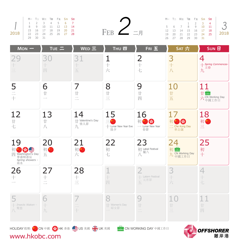|      |                      |    |       | M- T= W= T四 F五 S <del>大</del> SE |  |
|------|----------------------|----|-------|----------------------------------|--|
|      |                      |    |       | 1 2 3 4 5 6 7                    |  |
|      |                      |    |       | 9 10 11 12 13 14                 |  |
|      | $15 -$               |    |       | 16 17 18 19 20 21                |  |
| 2018 | 22 23 24 25 26 27 28 |    |       |                                  |  |
|      | 79                   | 30 | $-31$ |                                  |  |

|          | M-T=W=TAFFiS <del>A</del> SH |  |  |                                       |  |                   |  | $M-$ T= W= To Fi S $\star$ Se |                                                        |
|----------|------------------------------|--|--|---------------------------------------|--|-------------------|--|-------------------------------|--------------------------------------------------------|
|          | 1 2 3 4 5 6 7                |  |  |                                       |  |                   |  |                               |                                                        |
|          | 8 9 10 11 12 13 14           |  |  |                                       |  |                   |  |                               | $5\quad 6\quad 7\quad 8\quad 9\quad 10\quad 11\quad$ 3 |
|          | 15 16 17 18 19 20 21         |  |  | $FEB$ $\angle$ $\equiv$ $\frac{1}{2}$ |  |                   |  | 12 13 14 15 16 17 18          |                                                        |
|          | 22 23 24 25 26 27 28         |  |  |                                       |  |                   |  |                               | 19 20 21 22 23 24 25 2018                              |
| 29 30 31 |                              |  |  |                                       |  | 26 27 28 29 30 31 |  |                               |                                                        |

離岸港

| $Mon -$                                                          | TUE 二                                                       | WED 三                                      | <b>THU 四</b>                                 | FRIE                                   | SAT 六                                                    | <b>SUN 日</b>                               |
|------------------------------------------------------------------|-------------------------------------------------------------|--------------------------------------------|----------------------------------------------|----------------------------------------|----------------------------------------------------------|--------------------------------------------|
| 29<br>$\frac{1}{n}$                                              | 30<br>四                                                     | 31<br>五                                    | 1<br>$+$<br>$\overrightarrow{2}$             | $2 +$<br>七                             | 3<br>$+$<br>八                                            | 4<br>-Spring Commences-<br>立春<br>九         |
| 5<br>$\frac{1}{1}$                                               | 6<br>廿                                                      | 7<br>廿<br>$\equiv$                         | 8<br>廿<br>$\equiv$                           | 9<br>廿<br>四                            | 10<br>廿<br>五                                             | 11<br>$\pm$<br>六 CN Working Day<br>六 中國工作日 |
| 12<br>廿七                                                         | 13<br>廿<br>J                                                | 14<br>廿 Valentine's Day<br> <br>  情人節<br>九 | 15<br>$\equiv$<br>+ Lunar New Year Eve<br>除夕 | 16<br>S<br>初<br>- Lunar New Year<br>春節 | 17<br>$\mathcal{L}$<br>初<br>$\equiv$ Che Kung Day<br>車公誕 | 18<br>初心<br>$\equiv$                       |
| 19<br>初 * · · · · · · · · Day<br>華盛頓壽辰<br>Spring showers -<br>雨水 | 20<br>初年<br>五                                               | 21<br>初日<br>六                              | 22<br>初<br>七                                 | 23<br>初 Labal Festival<br>臘八<br>八      | 24<br>初显<br>九 CN Working Day                             | 25<br>初<br>$+$                             |
| 26<br>$\!+\!$                                                    | 27<br>$+$<br>$\overline{\phantom{a}}$                       | 28<br>$+$<br>$\equiv$                      | 1<br>$\vdash$<br>四                           | $+$ Latern Festival<br>元宵節<br>五        | 3<br>六                                                   | 4<br>$\overline{\phantom{a}}$<br>七         |
| - Insects Waken<br>八驚蟄                                           | 6<br>$\!+\!$<br>九                                           | $+$                                        | 8<br>Women's Day<br>婦女節                      | 9<br>廿<br>$\frac{1}{\sqrt{2}}$         | 10<br>$\frac{1}{ x }$<br>$\equiv$                        | 廿<br>四                                     |
|                                                                  | HOLIDAY 假期: <mark>★: cN 中國 ( ) HK 香港 ▲</mark> US 美國 4 UK 英國 |                                            |                                              | <b>L.</b> CN WORKING DAY 中國工作日         |                                                          | <b>AN OFFEHODER</b>                        |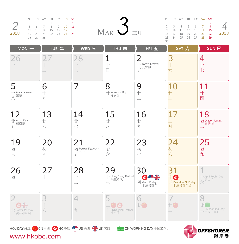| 2018 | M- T= W= T四 F五 S六 SH<br>26 27 28 | 12 13<br>19 20 | 7 8 |         | 14  15  16  17  18<br>21  22  23  24  25 | $M$ AR $\bigcup$ $\equiv$ $\text{H}$ | 30 | 10 | M- T= W= Tm Fi S* Sh<br>$\overline{4}$<br>11 12 13 14<br>16 17 18 19<br>23 24 25 26 27 28 | 5 6 7<br>20 21 | 8 <sup>8</sup><br>- 15<br>22<br>29 | 2018 |
|------|----------------------------------|----------------|-----|---------|------------------------------------------|--------------------------------------|----|----|-------------------------------------------------------------------------------------------|----------------|------------------------------------|------|
|      | $Mon -$                          |                |     | $TUE =$ |                                          | $WED \equiv$<br>FRIE<br><b>THU 四</b> |    |    | SAT 六                                                                                     |                | SUN <sub>E</sub>                   |      |

| 26<br>$\hspace{0.02cm}$ $\hspace{0.02cm}$ | $\overline{\phantom{a}}$ | 28<br>$\hspace{0.05cm}\rule{0.7pt}{0.1ex}\hspace{0.05cm}$<br>$\equiv$ | 1<br>$+$<br>四                              | $\overline{2}$<br>$+$ Latern Festival                                                               | 3<br>$+$<br>六                                      | 4<br>$+$<br>七                               |
|-------------------------------------------|--------------------------|-----------------------------------------------------------------------|--------------------------------------------|-----------------------------------------------------------------------------------------------------|----------------------------------------------------|---------------------------------------------|
| 5<br>$+$ Insects Waken -<br>se.<br>八<br>  | 6<br>$+$<br>九            | 7<br>$+$                                                              | 8<br>廿 Women's Day<br>婦女節                  | 9<br>廿<br>$\equiv$                                                                                  | 10<br>廿三                                           | 11<br>廿<br>四                                |
| 12<br>廿 Arbor Day<br>五<br>五               | 13<br>廿六                 | 14<br>廿七                                                              | 15<br>廿<br>八                               | 16<br>廿<br>九                                                                                        | 17<br>$\equiv$<br>月                                | 18<br>初 Dragon Raising<br>二 龍抬頭             |
| 19<br>初三                                  | 20<br>初<br>四             | 21<br>初 Vernal Equinox-<br>五                                          | 22<br>初<br>六                               | 23<br>初<br>七                                                                                        | 24<br>初<br>八                                       | 25<br>初<br>九                                |
| 26<br>初<br>$+$                            | 27<br>$\!+\!$            | 28<br>$+$<br>$\overline{\phantom{a}}$                                 | 29<br>┼ Hung Shing Festival<br>三 洪聖爺誕<br>三 | 30<br>$\begin{array}{c}\n\begin{array}{c}\n\downarrow \\ \hline\n\end{array}\n\end{array}$<br>耶穌受難節 | 31<br>$+$ $\,$<br>五 Day after G. Friday<br>耶穌受難節翌日 | ← April Fool's Day<br>一 愚人節                 |
| 2<br>← Easter Monday<br>復活節星期一            | 3<br>J                   | 4<br>$\!+\!$<br>九                                                     | 5<br>* (特<br>← Ching Ming Festival<br>清明節  | 6<br>$\pm G$                                                                                        |                                                    | 8<br>$\pm 1$<br>二 CN Working Day<br>二 中國工作日 |
| www.hkobc.com                             |                          | HOLIDAY 假期: <mark>本: CN 中國 SO HK 香港 SO</mark> US 美國 SHO UK 英國         |                                            | <b>EU CN WORKING DAY</b> 中國工作日                                                                      |                                                    | <b>OFFSHORER</b><br>離岸港                     |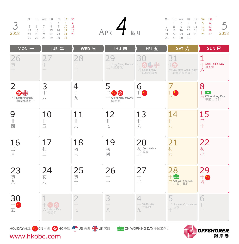|      |    |  | M- T= W= T四 F五 S六 SH        |  |
|------|----|--|-----------------------------|--|
|      |    |  | $1 \quad 2 \quad 3 \quad 4$ |  |
|      |    |  | 5 6 7 8 9 10 11             |  |
|      |    |  | 12  13  14  15  16  17  18  |  |
| 2018 | 19 |  | 20 21 22 23 24 25           |  |
|      |    |  | 26 27 28 29 30 31           |  |

| 四 F五 S六 S日      |  |          | $M - T = W$      |     |
|-----------------|--|----------|------------------|-----|
| $1 \t2 \t3 \t4$ |  |          |                  | - 2 |
| 8 9 10 11       |  |          | 7 8 9            |     |
| 15 16 17 18     |  | APR 一 四月 | 14 15 1          |     |
| 22 23 24 25     |  |          | $21 \t 22 \t 21$ |     |
| וכ חכ חנ        |  |          | וכ חר סר         |     |

|  | M-T=W=TAFFi SAS            |  |          |  |                                  | M-T= W= T四 F五 S <del>大</del> S日 |  |                            |                   |
|--|----------------------------|--|----------|--|----------------------------------|---------------------------------|--|----------------------------|-------------------|
|  | 1 2 3 4                    |  |          |  |                                  |                                 |  | 1 2 3 4 5 6                |                   |
|  | 5 6 7 8 9 10 11            |  |          |  |                                  |                                 |  |                            | 7 8 9 10 11 12 13 |
|  | 12  13  14  15  16  17  18 |  | APR T 四月 |  | 14   15   16   17   18   19   20 |                                 |  |                            |                   |
|  | 19 20 21 22 23 24 25       |  |          |  |                                  |                                 |  | 21  22  23  24  25  26  27 | 2018              |
|  | 26 27 28 29 30 31          |  |          |  |                                  | 28 29 30 31                     |  |                            |                   |

| $Mon -$                                            | TUE 二                            | WED 三                                                                | <b>THU 四</b>                                                   | FRI 五                                                       | SAT 六                                                               | <b>SUN 日</b>                                   |
|----------------------------------------------------|----------------------------------|----------------------------------------------------------------------|----------------------------------------------------------------|-------------------------------------------------------------|---------------------------------------------------------------------|------------------------------------------------|
| 26<br>初<br>$\ddotplus$                             |                                  | 28<br>$\frac{1}{11}$                                                 | 29<br>十 Hung Shing Festival<br>三 洪聖爺誕<br>三                     | 30<br>$+$ \$ $\bullet$ $\ddagger$<br>四 Good Friday<br>耶穌受難節 | 31<br>$+$<br>$\overline{\text{H}}$ Day after Good Friday<br>耶穌受難節翌日 | 十 April Fool's Day<br>六<br>六                   |
| $\overline{2}$<br>十多米<br>七 Easter Monday<br>復活節星期一 | 3<br>$+$<br>$J\setminus$         | 4<br>$\hspace{0.02cm} +$<br>九                                        | 5<br>$\mathcal{L}$<br>十 Ching Ming Festival<br>清明節             | 6<br>廿                                                      | 7<br>$\pm$ 3<br>$\equiv$                                            | 8<br>廿<br>ينونه<br>二 CN Working Day<br>二 中國工作日 |
| 9<br>$\mathop{\uparrow}\nolimits$<br>四             | 10<br>廿<br>五                     | 11<br>廿<br>$\overrightarrow{2}$                                      | 12<br>廿<br>七                                                   | 13<br>$\mathop{\rm \#}$<br>八                                | 14<br>廿<br>九                                                        | 15<br>三十                                       |
| $\frac{16}{11}$                                    | 17<br>初<br>$\equiv$              | 18<br>初<br>$\equiv$                                                  | 19<br>初<br>四                                                   | 20<br>初 Corn rain -<br>五<br>五                               | 21<br>初六                                                            | 22<br>初七                                       |
| 23<br>$\mathcal{Y}\setminus\mathcal{Y}$            | 24<br>初<br>九                     | 25<br>初<br>$+$                                                       | 26<br>$\!+\!$                                                  | 27<br>$+$<br>$\equiv$                                       | 28<br>$+$<br>$\equiv$ CN Working Day<br>一 中國工作日                     | 29<br>$+$ $\bullet$<br>四                       |
| 30<br>十五                                           | $+$ $(*)$<br>六 Labour Day<br>勞動節 | $\frac{2}{1}$<br>Ł                                                   | 3<br>$\hspace{0.05cm}\Big\uparrow$<br>$\overline{\mathcal{N}}$ | 4<br>— Youth Day<br>- 青年節<br>九                              | Summer Commences-<br>立夏<br>$+$                                      | 6<br>廿<br>$\sim$ $\sim$                        |
|                                                    |                                  | HOLIDAY 假期: <mark>本 : CN 中國 8 S</mark> HK 香港 <u>S</u> US 美國 3 CHK 英國 |                                                                | <b>CN WORKING DAY</b> 中國工作日                                 |                                                                     | <b>TO OCESUODED</b>                            |

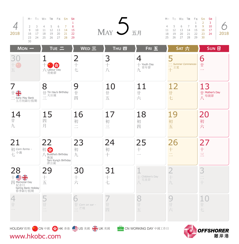|      |        |    | M- T= W= T四 F五 S* S日   |                    |  |
|------|--------|----|------------------------|--------------------|--|
|      |        |    |                        |                    |  |
|      |        |    |                        |                    |  |
|      | $\cup$ | 10 |                        | 11  12  13  14  15 |  |
| 2018 | 16     |    | 17 18 19 20 21 22      |                    |  |
|      | 23     |    | 24  25  26  27  28  29 |                    |  |
|      |        |    |                        |                    |  |



|           |    |             |    | $M - T = W \equiv T \equiv F \equiv S \star S \equiv S$ |    |
|-----------|----|-------------|----|---------------------------------------------------------|----|
|           |    | $1 \t2 \t3$ |    |                                                         |    |
| $\bigcap$ | 10 |             |    | 4 5 6 7 8                                               |    |
|           |    |             |    | 11 12 13 14 15 16 17                                    |    |
| 2018      |    |             |    | 19 20 21 22 23 24                                       | 18 |
|           |    | - 30        | 29 | 26 27 28                                                | フリ |
|           |    |             |    |                                                         |    |

| $Mon -$                                                           | TUE $\equiv$                                                        | WED 三                                                                  | <b>THU 四</b>        | FRI 五                           | SAT 六                                        | $SUN$ $H$                                   |
|-------------------------------------------------------------------|---------------------------------------------------------------------|------------------------------------------------------------------------|---------------------|---------------------------------|----------------------------------------------|---------------------------------------------|
| 3<br>五                                                            | $\mathcal{L}$<br>六 Labour Day<br>勞動節                                | $2 +$<br>七                                                             | 3<br>$+$<br>J       | 4<br>$+$ Youth Day<br>青年節<br>九  | 5<br>$\equiv$ Summer Commences-<br>立夏<br>$+$ | 6<br>廿<br>$\overline{\phantom{0}}$          |
| 7<br>世器<br>$\equiv$ Early May Bank<br>五月初銀行假期                     | 8<br>$\frac{1}{\sqrt{2}}$ Tin Hau's Birthday<br>天后誕<br>$\equiv$     | 9<br>廿<br>四                                                            | 10<br>廿<br>五        | 11<br>廿<br>$\overrightarrow{2}$ | 12<br>廿<br>七                                 | 13<br>廿 Mother's Day<br>八 母親節               |
| 14<br>九                                                           | 15<br>四<br>月                                                        | 16<br>初<br>$\overline{\phantom{a}}$<br>$\overline{\phantom{a}}$        | 17<br>初<br>$\equiv$ | 18<br>初<br>四                    | 19<br>初<br>五                                 | 20<br>初<br>六                                |
| 21<br>初 Corn forms -<br>石小滿                                       | 22<br>初步<br>/ Buddha's Birthday<br>佛誕<br>Tam Kung's Birthday<br>譚公誕 | 23<br>初<br>九                                                           | 24<br>初<br>$+$      | 25<br>$\overline{+}$            | 26<br>$+$<br>$\overline{\square}$            | 27<br>$\!+\!$<br>三                          |
| 28<br>土雪米<br>Memorial Day<br>紀念日<br>Spring Bank Holiday<br>春季銀行假期 | 29<br>$+$<br>五                                                      | 30<br>$+$<br>$\frac{1}{\sqrt{2}}$                                      | 31<br>$^{+}$<br>七   | - Children's Day<br>兒童節<br>J    | $\overline{\phantom{a}}$<br>九                | 3<br>$\frac{1}{\sqrt{2}}$<br>$\!+\!$        |
| $\mathop{\mathop{\Vdash}}$                                        | 廿<br>$\overline{\phantom{a}}$                                       | 6<br>$\#$ Corn on ear -<br>三芒種                                         | 廿<br>四              | 8<br>廿<br>五                     | ب<br>廿<br>$\overrightarrow{2}$               | $\mathop{\mathop{\hbox{--}}\nolimits}$<br>七 |
|                                                                   |                                                                     | HOLIDAY 假期: <mark>本 &gt;</mark> CN 中國 S HK 香港 <u>S</u> US 美國 S > UK 英國 |                     | CN WORKING DAY 中國工作日            | $\blacksquare$                               | <b>OFFSHORFR</b>                            |

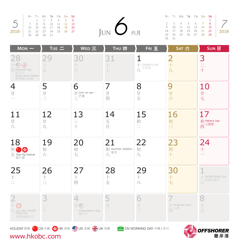|      | M-T= W= T四 F五 S六 SH        |  |  |             |        |  |               | $M - T = W = T$ T F $\pm$ S $\star$ S H |  |                     |      |
|------|----------------------------|--|--|-------------|--------|--|---------------|-----------------------------------------|--|---------------------|------|
|      |                            |  |  | 1 2 3 4 5 6 |        |  |               |                                         |  |                     |      |
|      | 7 8 9 10 11 12 13          |  |  |             |        |  |               | 2 3 4 5 6 7 8                           |  |                     |      |
|      | 14  15  16  17  18  19  20 |  |  |             |        |  |               |                                         |  | 9 10 11 12 13 14 15 |      |
| 2018 | 21 22 23 24 25 26 27       |  |  |             | JUN 方月 |  |               | 16  17  18  19  20  21  22              |  |                     | 2018 |
|      | 28 29 30 31                |  |  |             |        |  |               | 23 24 25 26 27 28 29                    |  |                     |      |
|      |                            |  |  |             |        |  | $30 \quad 31$ |                                         |  |                     |      |

| $Mon -$                                                                       | $TUE =$            | WED 三                                                      | <b>THU 四</b>                     | FRIE                                                          | SAT 六                       | <b>SUN 日</b>                                     |
|-------------------------------------------------------------------------------|--------------------|------------------------------------------------------------|----------------------------------|---------------------------------------------------------------|-----------------------------|--------------------------------------------------|
| <b>SIP</b><br><b>TU</b> Memorial Day<br>紀念日<br>Spring Bank Holiday<br>春季銀行假期  | 29<br>五            | 30<br>六                                                    | 31<br>Ł                          | 1<br>← Children's Day<br>兒童節<br>$\overline{J}$                | $\overline{2}$<br>$+$<br>九  | 3<br>$\equiv$<br>$+$                             |
| 4<br>$\mathop{\rm \#}$                                                        | 5<br>廿<br>$\equiv$ | 6<br>$\#$ Corn on ear -<br>$\frac{1}{1}$ 芒種                | 7<br>廿<br>四                      | 8<br>$\mathop{\ensuremath{\mathop{\hbox{--}}\nolimits}}$<br>五 | 9<br>廿<br>六                 | 10<br>廿<br>七                                     |
| 11<br>$\mathop{\rm \#}$<br>J                                                  | 12<br>廿<br>九       | 13<br>三十                                                   | 14<br>五<br>月                     | 15<br>初<br>$\equiv$                                           | 16<br>初<br>三                | 17<br>初 Father's Day<br>") suner's<br>四 父親節      |
| 18<br>初<br>$\mathcal{G}$<br>$\underline{\mathcal{F}}$ Tuen Ng Festival<br>端午節 | 19<br>初<br>六       | 20<br>初<br>七                                               | 21<br>初 Summer Solstice -<br>八夏至 | 22<br>初<br>九                                                  | 23<br>初<br>$+$              | 24<br>$+$                                        |
| 25<br>$\!+\!$                                                                 | 26<br>十三           | 27<br>$+$<br>四                                             | 28<br>$\! +$<br>五                | 29<br>十六                                                      | 30<br>$\boldsymbol{+}$<br>七 | - HKSAR Estab Day<br>人<br>不在唐日<br>人              |
| $\overline{2}$<br>$+$<br>九 Day after HKSAR<br>Estab Day<br>香港回歸翌日             | 3<br>$+$           | 4<br>$\mathbb{H}$ and<br>- Independence Day<br>獨立日         | 5<br>廿                           | 6<br>廿<br>$\equiv$                                            | Moderate Heat -<br>四小暑      | 8<br>$\mathop{\mathop{\hbox{--}}\nolimits}$<br>五 |
| www.hkobc.com                                                                 |                    | HOLIDAY 假期: <mark>本:</mark> CN 中國 S HK 香港 LUS 美國 S H UK 英國 |                                  | <b>LUBER CN WORKING DAY</b> 中國工作日                             |                             | <b>OFFSHORER</b><br>離岸港                          |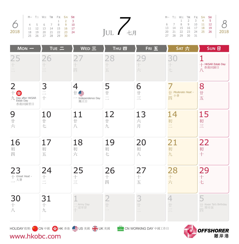|                             | M- T= W= TE Fi S* SE |  |                     |  |        |  | M-T= W= T四 F五 S <del>大</del> SE |  |  |
|-----------------------------|----------------------|--|---------------------|--|--------|--|---------------------------------|--|--|
|                             |                      |  | $1 \quad 2 \quad 3$ |  |        |  | 1 2 3 4 5                       |  |  |
| 0 4 5 6 7 8 9 10            |                      |  |                     |  |        |  | 6 7 8 9 10 11 12                |  |  |
|                             |                      |  |                     |  |        |  | 13 14 15 16 17 18 19            |  |  |
| 2018   18 19 20 21 22 23 24 |                      |  |                     |  | JUL 七月 |  | 20 21 22 23 24 25 26            |  |  |
|                             | 25 26 27 28 29 30    |  |                     |  |        |  | 27  28  29  30  31              |  |  |
|                             |                      |  |                     |  |        |  |                                 |  |  |

| U <sub>L</sub> | 七月 |
|----------------|----|

|  | M- T= W= T四 F五 S* SE   |    |           |    |              |
|--|------------------------|----|-----------|----|--------------|
|  |                        |    | 1 2 3 4 5 |    |              |
|  | 6 7 8 9 10 11 12       |    |           |    |              |
|  | 13  14  15  16  17  18 |    |           | 19 |              |
|  | 20 21 22 23 24 25 26   |    |           |    | $\vert$ 2018 |
|  | 27 28 29               | 30 | 31        |    |              |

| $Mon -$                                                                 | $TUE =$                   | WED $\Xi$                                                              | <b>THU 四</b>                                               | FRI 五                                                               | SAT 六                                    | <b>SUN 日</b>                            |
|-------------------------------------------------------------------------|---------------------------|------------------------------------------------------------------------|------------------------------------------------------------|---------------------------------------------------------------------|------------------------------------------|-----------------------------------------|
| 25<br>$\hspace{0.05cm}\rule{0.7pt}{0.1ex}\hspace{0.05cm}$               | 26<br>$\equiv$            | 四                                                                      | 28<br>$\oplus$<br>五                                        | $\overrightarrow{2}$                                                | 30<br>$\hspace{0.05cm}\Big\uparrow$<br>七 | 十 HKSAR Estab Day<br>八 <sup>香港回歸日</sup> |
| $\overline{2}$<br>$+$<br>$\frac{1}{\sqrt{2}}$ Day after HKSAR<br>香港回歸翌日 | 3<br>$+$                  | 4<br>$\pm$<br>- Independence Day<br>獨立日                                | 5<br>廿                                                     | 6<br>十三                                                             | + Moderate Heat -<br>小暑<br>四             | 8<br>廿<br>五                             |
| 9<br>廿六                                                                 | 10<br>廿<br>七              | 11<br>廿<br>$\bigwedge$                                                 | 12<br>廿<br>九                                               | 13<br>六月                                                            | 14<br>初<br>$\equiv$                      | 15<br>初<br>三                            |
| 16<br>初<br>四                                                            | 17<br>初<br>五              | 18<br>初<br>六                                                           | 19<br>初<br>七                                               | 20<br>初<br>八                                                        | 21<br>初<br>九                             | 22<br>初<br>$+$                          |
| 23<br>$+$ Great Heat -<br>一大暑                                           | 24<br>$\!+\!$<br>$\equiv$ | 25<br>$rac{+}{-}$                                                      | 26<br>$+$<br>四                                             | 27<br>$\!+\!$<br>五                                                  | 28<br>一十六                                | 29<br>十七                                |
| 30<br>一十八                                                               | 31<br>$+$<br>九            | $-$ Army Day<br>建軍節                                                    | $\overline{2}$<br>$\mathop{\rm l\negthinspace l}\nolimits$ | 3<br>$\mathop{\mathop{\hbox{--}}\nolimits}$<br>$\frac{1}{\sqrt{2}}$ | $\overline{4}$<br>廿<br>$\equiv$          | 5<br>Kwan Tai's Birthday<br>關帝誕<br>四    |
|                                                                         |                           | HOLIDAY 假期: <mark>本 &gt;</mark> CN 中國 S HK 香港 <u>C US</u> 美國 S H UK 英國 |                                                            | CN WORKING DAY 中國工作日                                                | $\blacksquare$                           | <b>OFFSHORER</b>                        |

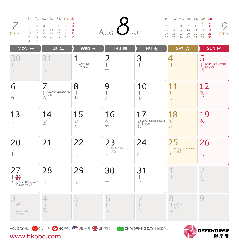|      |    |    | M- T= W= T四 F五 S六 SH |                |          |    |
|------|----|----|----------------------|----------------|----------|----|
|      |    |    |                      |                |          |    |
|      |    |    | 2 3 4 5 6 7          |                |          | -8 |
|      | q  | 10 |                      | 11 12 13 14 15 |          |    |
| 2018 |    |    | 16 17 18 19          |                | 20 21 22 |    |
|      | 23 |    | 24 25 26 27 28 29    |                |          |    |
|      |    | 31 |                      |                |          |    |

|  | M-T=W=T四Fi SASH      |  |  | $_{\mathrm{Aug}}$ $\mathcal{S}_{\text{Alg}}$ |  | M-T= W= T四 F五 S <del>大</del> SE |  |             |  |
|--|----------------------|--|--|----------------------------------------------|--|---------------------------------|--|-------------|--|
|  |                      |  |  |                                              |  |                                 |  | $1 \quad 2$ |  |
|  | 2 3 4 5 6 7 8        |  |  |                                              |  | 3 4 5 6 7 8 9                   |  |             |  |
|  | 9 10 11 12 13 14 15  |  |  |                                              |  | 10 11 12 13 14 15 16            |  |             |  |
|  | 16 17 18 19 20 21 22 |  |  |                                              |  | 17 18 19 20 21 22 23            |  |             |  |
|  | 23 24 25 26 27 28 29 |  |  |                                              |  | 24 25 26 27 28 29 30            |  |             |  |

|              |              |  | M- T= W= Tm Fi S* SE       |  |
|--------------|--------------|--|----------------------------|--|
|              | $\mathbf{1}$ |  |                            |  |
|              |              |  | 3 4 5 6 7 8 9              |  |
|              |              |  | 10 11 12 13 14 15 16       |  |
| $\vert$ 2018 |              |  | 17 18 19 20 21 22 23       |  |
|              |              |  | 24  25  26  27  28  29  30 |  |
|              |              |  |                            |  |

| $Mon -$                                                | TUE $=$                       | $WED \equiv$                                                           | <b>THU 四</b>                                                    | FRI 五                                  | SAT 六                                       | <b>SUN 日</b>                             |  |  |
|--------------------------------------------------------|-------------------------------|------------------------------------------------------------------------|-----------------------------------------------------------------|----------------------------------------|---------------------------------------------|------------------------------------------|--|--|
| 3<br>十八                                                | 31<br>九                       | $\mathbf 1$<br>二 Army Day<br>十<br>十                                    | $\overline{2}$<br>$\mathop{\rm \#}$<br>$\overline{\phantom{a}}$ | $\frac{3}{1}$                          | 4<br>十三                                     | 5<br>廿 Kwan Tai's Birthday<br>Ⅲ 關帝誕<br>四 |  |  |
| $6 + E$                                                | 廿 Autumn Commences-<br>六<br>六 | 8<br>$\mathop{\rm \#}$<br>七                                            | 9<br>$\mathop{\rm \#}$<br>八                                     | 10<br>$\mathop{\rm \#}$<br>九           | $\frac{11}{4}$<br>月                         | 12<br>初二                                 |  |  |
| 13<br>初三                                               | 14<br>初<br>四                  | 15<br>初<br>五                                                           | 16<br>初六                                                        | 17<br>初 Seven Sisters Festival<br>七世観誕 | 18<br>初<br>八                                | 19<br>初<br>九                             |  |  |
| 20<br>初十                                               | 21                            | $\frac{22}{1}$<br>$\equiv$                                             | 23<br>十 <i>End of Heat</i> -<br>二<br>二                          | $24 +$<br>四                            | 25<br>十 Hungry Ghost Festival<br>五 孟蘭節<br>五 | $26 +$<br>六                              |  |  |
| 27<br>卡带<br>七 Summer Bank Holiday<br>夏季銀行假期            | 28<br>$+$<br>J                | $29 + \hbar$                                                           | $\begin{array}{c}\n 30 \\  \underline{=} \\  +\n \end{array}$   | 31<br>廿                                | $\frac{1}{1}$<br>$\frac{1}{\sqrt{2}}$       | $2 + 1$                                  |  |  |
| 3<br>$\pm \triangleq$<br>$\mathbb{E}$ Labor Day<br>勞動節 | 4<br>廿<br>五                   | 5#六                                                                    | 6<br>$\mathop{\rm l}\nolimits$<br>七                             | $\mathcal{L}$<br>$J\setminus$          | 8<br>White Dew -<br>九白露                     | 9<br>三十                                  |  |  |
|                                                        |                               | HOLIDAY 假期: <mark>本 &gt;</mark> CN 中國 S HK 香港 <u>S</u> US 美國 S > UK 英國 |                                                                 | CN WORKING DAY 中國工作日                   | $\blacksquare$                              | <b>OFFSHORER</b>                         |  |  |

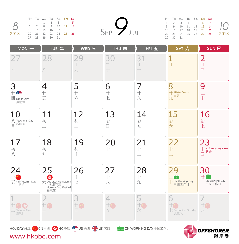|  |  | 27  28  29  30  31 | M- T= W= T四 F五 S* SE<br>$1 \t2 \t3 \t4 \t5$<br>6 7 8 9 10 11 12<br>13  14  15  16  17  18  19<br>20 21 22 23 24 25 26 |
|--|--|--------------------|-----------------------------------------------------------------------------------------------------------------------|



|  |          |  | 2018                                                                                                                                                                                                                                    |
|--|----------|--|-----------------------------------------------------------------------------------------------------------------------------------------------------------------------------------------------------------------------------------------|
|  |          |  |                                                                                                                                                                                                                                         |
|  | 29 30 31 |  | M-T=W=TMFi Fi S <del>A</del> S <b>h</b><br>$\begin{array}{ccccccccc} 1 & 2 & 3 & 4 & 5 & 6 & 7 \\ 8 & 9 & 10 & 11 & 12 & 13 & 14 \\ 15 & 16 & 17 & 18 & 19 & 20 & 21 \end{array}$<br>15  16  17  18  19  20  21<br>22 23 24 25 26 27 28 |

| $Mon -$                                              | TUE 二                                                                      | WED 三                                        | <b>THU 四</b>                                    | FRI 五                           | SAT 六                                        | <b>SUN 日</b>                                        |
|------------------------------------------------------|----------------------------------------------------------------------------|----------------------------------------------|-------------------------------------------------|---------------------------------|----------------------------------------------|-----------------------------------------------------|
|                                                      | 28<br>$\bigwedge$                                                          | q<br>$\hspace{0.05cm}\Big\uparrow$<br>九      | 30<br>$\pm$                                     | 31<br>H                         | $\frac{1}{\text{t}}$<br>$\overline{\square}$ | $2_{\text{H}}$                                      |
| 3<br>$\pm$<br>$\mathbb{Z}$ Labor Day<br>勞動節          | 4<br>$\mathop{\rm \#}$<br>五                                                | 5<br>廿六                                      | 6<br>$\mathop\uparrow\hskip-2pt\downarrow$<br>七 | 7<br>廿<br>$\bigwedge$           | 8<br>H White Dew -<br>白露<br>九                | 9<br>三十                                             |
| 10<br>Teacher's Day<br>教師節<br>月                      | 11<br>初<br>$\equiv$                                                        | 12<br>初三                                     | 13<br>初<br>四                                    | 14<br>初<br>五                    | 15<br>初六                                     | 16<br>初<br>七                                        |
| 17<br>初<br>J                                         | 18<br>初<br>九                                                               | 19<br>初<br>$+$                               | 20<br>$+$                                       | 21<br>$+$<br>$\equiv$           | 22<br>$+$<br>$\equiv$                        | 23<br>十 Autumnal equinox-<br>四 <sup>秋分</sup>        |
| 24<br>五 Mid-Autumn Day<br>中秋節                        | 25<br>$+$<br>六 Day after Mid-Autumn<br>中秋節翌日<br>Monkey God Festival<br>猴王誕 | 26<br>$\hspace{0.1mm} +$<br>七                | 27<br>$\!+\!$<br>$J\setminus$                   | 28<br>$\hspace{0.02cm} +$<br>九  | 29<br>¢<br>+ CN Working Day<br>中國工作日         | 30<br>$\pm \blacksquare$<br>CN Working Day<br>中國工作日 |
| *) S<br>$\overline{\phantom{a}}$ National Day<br>國慶日 | $\mathop{\mathop{\hbox{--}}\nolimits\hbox{--}}$<br>$\equiv$                | З<br>廿<br>四                                  | 4<br>廿(*)<br>五                                  | 5<br>廿日<br>$\frac{1}{\sqrt{2}}$ | 6<br>七 Confucius Birthday<br>孔聖誕             | 廿卷<br>J                                             |
| www.hkobc.com                                        |                                                                            | HOLIDAY假期: 3: CN 中國 S HK 香港 LIS 美國 S H UK 英國 |                                                 | CN WORKING DAY 中國工作日            |                                              | <b>OFFSHORER</b><br>離岸港                             |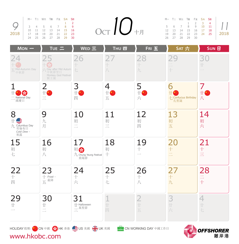|      |                                                                    |  | M- T= W= T四 F五 S* SE       |    |                |
|------|--------------------------------------------------------------------|--|----------------------------|----|----------------|
|      |                                                                    |  |                            | з. | $\overline{2}$ |
|      | $\begin{array}{cccccccc} \n3 & 4 & 5 & 6 & 7 & 8 & 9\n\end{array}$ |  |                            |    |                |
|      | $10-1$                                                             |  | 11    12    13    14    15 |    | 16             |
| 2018 | 17                                                                 |  | 18  19  20  21  22  23     |    |                |
|      | 24                                                                 |  | 25 26 27 28 29             |    | 30             |

|  | M-T=W=T四F五S <del>大SH</del> |  |  | $\mathrm{OCT}$ $\ O_{\mathrm{eff}}\ $ |  | M-T= W= T四 F五 S六 SE  |  |  |
|--|----------------------------|--|--|---------------------------------------|--|----------------------|--|--|
|  |                            |  |  |                                       |  | 1 2 3 4              |  |  |
|  | 3 4 5 6 7 8 9              |  |  |                                       |  | 5 6 7 8 9 10 11      |  |  |
|  | 10 11 12 13 14 15 16       |  |  |                                       |  | 12 13 14 15 16 17 18 |  |  |
|  | 17 18 19 20 21 22 23       |  |  |                                       |  | 19 20 21 22 23 24 25 |  |  |
|  | 24 25 26 27 28 29 30       |  |  |                                       |  | 26 27 28 29 30       |  |  |

|       | M- T= W= TE FE S* SE       |    |                     |  |              |
|-------|----------------------------|----|---------------------|--|--------------|
|       |                            |    | $1 \quad 2 \quad 3$ |  |              |
|       | 5 6 7 8 9 10 11            |    |                     |  |              |
|       | 12  13  14  15  16  17  18 |    |                     |  |              |
|       | 19 20 21 22 23 24 25       |    |                     |  | $\vert$ 2018 |
| 26 27 | 28                         | 29 | - 30                |  |              |

| $Mon -$                                              | TUE $=$                                                                | WED 三                                        | <b>THU 四</b>                                                                                                                                                  | FRI 五                                  | SAT 六                                 | <b>SUN 日</b>                                     |
|------------------------------------------------------|------------------------------------------------------------------------|----------------------------------------------|---------------------------------------------------------------------------------------------------------------------------------------------------------------|----------------------------------------|---------------------------------------|--------------------------------------------------|
| 五 Mid-Autumn Day<br>中秋節                              | 六 Day after Mid Autum<br>中秋節翌日<br>Monkey God Festival<br>猴王誕           | 6<br>Ł                                       | $\begin{array}{c} \begin{array}{c} \begin{array}{c} \begin{array}{c} \end{array} \end{array} \end{array} \end{array} \end{array}$<br>$\overline{\mathcal{N}}$ | 28<br>九                                | $+$                                   | 30<br>廿                                          |
| $\frac{1}{2}$<br>National Day<br>國慶日                 | 2<br>廿卷<br>$\equiv$                                                    | 3<br>廿<br>四                                  | 4<br>$\pm$<br>五                                                                                                                                               | 5<br>$\pm 6$<br>六                      | 6<br>廿<br>七 Confucius Birthday<br>孔聖誕 | 7<br>$\pm 6$<br>八                                |
| 8<br>≝<br>九 Columbus Day<br>哥倫布日<br>Cold Dew -<br>寒露 | 9<br>九<br>月                                                            | 10<br>初<br>$\equiv$                          | 11<br>初<br>$\equiv$                                                                                                                                           | 12<br>初<br>四                           | 13<br>初<br>五                          | 14<br>初<br>六                                     |
| 15<br>初七                                             | 16<br>初<br>八                                                           | 17<br>初的<br>九 Chung Yeung Festival<br>重陽節    | 18<br>初<br>$+$                                                                                                                                                | 19<br>$\!+\!$                          | 20<br>$\pm$<br>$\equiv$               | 21<br>$\,+\,$<br>三                               |
| 22<br>$\hspace{0.02cm}$ $\hspace{0.02cm}$<br>四       | 23<br>十 <i>Frost</i> -<br>五 <sup>霜降</sup>                              | 24<br>十六                                     | 25<br>$\!+\!$<br>七                                                                                                                                            | 26<br>$\hspace{0.1mm} +$<br>八          | 27<br>$\boldsymbol{+}$<br>九           | 28<br>$\equiv$<br>$\,+\,$                        |
| 29<br>$\mathop\text{H}\nolimits$                     | 30<br>$\mathop{\rm \#}$<br>$\equiv$                                    | 31<br>$\#$ Halloween<br>H .raflowt<br>二<br>二 | $\mathbf{1}$<br>廿<br>四                                                                                                                                        | $\overline{2}$<br>$\frac{1}{ x }$<br>五 | 3<br>廿<br>$\frac{1}{\sqrt{2}}$        | 4<br>$\mathop{\mathop{\hbox{--}}\nolimits}$<br>七 |
|                                                      | HOLIDAY 假期: <mark>本 &gt;</mark> CN 中國 S HK 香港 <u>S</u> US 美國 S > UK 英國 |                                              |                                                                                                                                                               | CN WORKING DAY 中國工作日                   | $\blacksquare$                        | <b>OFFSHORER</b>                                 |

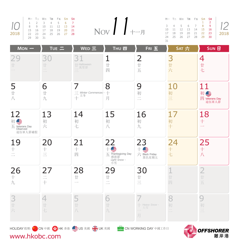|                                                                                                                        |                      |              |       | M- T= W= T四 F五 S六 S日       |  |
|------------------------------------------------------------------------------------------------------------------------|----------------------|--------------|-------|----------------------------|--|
| $\begin{array}{c cccccccccccccc} & 1 & 2 & 3 & 4 & 5 & 6 & 7 \\ \hline 0 & 8 & 9 & 10 & 11 & 12 & 13 & 14 \end{array}$ |                      |              |       |                            |  |
|                                                                                                                        |                      |              |       |                            |  |
|                                                                                                                        |                      |              |       | 15  16  17  18  19  20  21 |  |
| 2018                                                                                                                   | 22 23 24 25 26 27 28 |              |       |                            |  |
|                                                                                                                        | ΟQ                   | $30^{\circ}$ | $-31$ |                            |  |

|          |  | M- T= W= T四 F五 S六 SH       | $\sum_{N\text{OV}}\prod_{i=1}^{N}$ |  |  |  |  | $M \rightarrow T \equiv W \equiv T \equiv F \equiv S \star S \equiv I$ |                                                                                                              |
|----------|--|----------------------------|------------------------------------|--|--|--|--|------------------------------------------------------------------------|--------------------------------------------------------------------------------------------------------------|
|          |  | 1 2 3 4 5 6 7              |                                    |  |  |  |  |                                                                        | $\begin{array}{ccccccccc}\n & 3 & 4 & 5 & 6 & 7 & 8 & 9 \\  & 10 & 11 & 12 & 13 & 14 & 15 & 16\n\end{array}$ |
|          |  | 8 9 10 11 12 13 14         |                                    |  |  |  |  |                                                                        |                                                                                                              |
|          |  | 15  16  17  18  19  20  21 |                                    |  |  |  |  |                                                                        |                                                                                                              |
|          |  | 22 23 24 25 26 27 28       |                                    |  |  |  |  | 17 18 19 20 21 22 23                                                   | 2018                                                                                                         |
| 29 30 31 |  |                            |                                    |  |  |  |  | 24  25  26  27  28  29  30                                             |                                                                                                              |
|          |  |                            |                                    |  |  |  |  |                                                                        |                                                                                                              |

| $Mon -$                                                   | TUE $=$                                               | WED 三                                                                  | <b>THU 四</b>                                               | FRI 五                                    | SAT 六                                                               | <b>SUN 日</b>                         |
|-----------------------------------------------------------|-------------------------------------------------------|------------------------------------------------------------------------|------------------------------------------------------------|------------------------------------------|---------------------------------------------------------------------|--------------------------------------|
| $\mathop{\rm l}\nolimits$                                 | 30<br>$\mathbb{H}$                                    | 31<br>廿 Halloween<br>二 萬聖節                                             | 1<br>廿<br>四                                                | $\overline{2}$<br>$\mathop{\rm \#}$<br>五 | 3<br>廿六                                                             | 4<br>廿<br>七                          |
| 5<br>$\mathop{\rm \#}$<br>J                               | 6<br>廿<br>九                                           | 7<br>$\equiv$ Winter Commences                                         | 8<br>$^{+}$<br>月                                           | 9<br>初<br>$\equiv$                       | 10<br>初三                                                            | 11<br>初些<br>Veterans Day<br>退伍軍人節    |
| 12<br>初些<br>$\overline{\text{H}}$ Veterans Day<br>退伍軍人節補假 | 13<br>初<br>六                                          | 14<br>初<br>七                                                           | 15<br>初<br>八                                               | 16<br>初<br>九                             | 17<br>初<br>$+$                                                      | 18<br>$\boldsymbol{+}$               |
| 19<br>$\!+\!$                                             | 20<br>$\hspace{0.02cm}$ $\hspace{0.02cm}$<br>$\equiv$ | 21<br>$+$<br>四                                                         | 22<br>€<br>五 Thanksgiving Day<br>感恩節<br>Light Snow -<br>小雪 | 23<br>$+$ Slack Friday<br>黑色星期五          | 24<br>$\!+\!$<br>七                                                  | 25<br>$\boldsymbol{+}$<br>八          |
| 26<br>十九                                                  | 27<br>$\equiv$<br>$+$                                 | 28<br>$\mathop{\mathop{\rm l\negthinspace H}}$                         | 29<br>$\mathop{\rm \#}$<br>$\equiv$                        | 30<br>廿三                                 | $\mathbf{1}$<br>$\mathop{\mathop{\hbox{--}}\nolimits\hbox{+}}$<br>四 | $\overline{2}$<br>$\mathcal{H}$<br>五 |
| 3<br>廿六                                                   | 4<br>廿<br>七                                           | 5<br>廿<br>$\bigwedge$                                                  | 6<br>廿<br>九                                                | $-$ Heavy Snow -<br>大雪<br>月              | 8<br>初<br>$\frac{1}{\sqrt{2}}$                                      | 初<br>$\equiv$                        |
| www.hkobc.com                                             |                                                       | HOLIDAY 假期: <mark>本 &gt;</mark> CN 中國 S HK 香港 <u>S</u> US 美國 S > UK 英國 |                                                            | CN WORKING DAY 中國工作日                     |                                                                     | <b>OFFSHORER</b><br>離岸港              |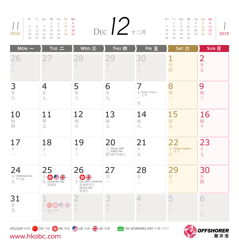|      | M-T= W= T四 F五 S六 SH |                      |  |  | DEC $12$ += $5$ | $M - T = W$      |  |
|------|---------------------|----------------------|--|--|-----------------|------------------|--|
|      |                     |                      |  |  |                 | $1 \quad 2$      |  |
|      |                     |                      |  |  |                 | 7 8 9            |  |
|      |                     |                      |  |  |                 | 14 15 1          |  |
| 2018 |                     | 19 20 21 22 23 24 25 |  |  |                 | $21 \t 22 \t 21$ |  |
|      |                     | 26 27 28 29 30       |  |  |                 | 28 29 3          |  |

|  |                |  | M-TIWETMEFISA SH           | DEC $12 + 17$ |  | M-T= W= T四 F五 S六 SE        |  |  |
|--|----------------|--|----------------------------|---------------|--|----------------------------|--|--|
|  |                |  | 1 2 3 4                    |               |  | 1 2 3 4 5 6                |  |  |
|  |                |  | 5 6 7 8 9 10 11            |               |  | 7 8 9 10 11 12 13          |  |  |
|  |                |  | 12  13  14  15  16  17  18 |               |  | 14  15  16  17  18  19  20 |  |  |
|  |                |  | 19 20 21 22 23 24 25       |               |  | 21 22 23 24 25 26 27       |  |  |
|  | າເ າ7 າ0 າດ າ∩ |  |                            |               |  | ר וכ מכ סר ס               |  |  |

| 1 $\bigcap$             |  | M- T= W= T四 F五 S <del>大</del> S日 |  |             |                           |
|-------------------------|--|----------------------------------|--|-------------|---------------------------|
|                         |  |                                  |  | 1 2 3 4 5 6 |                           |
| DEC $\mathcal{L}_{\pm}$ |  |                                  |  |             | 7 8 9 10 11 12 13         |
|                         |  | 14   15   16   17   18   19   20 |  |             |                           |
|                         |  |                                  |  |             | 21 22 23 24 25 26 27 2019 |
|                         |  | 28 29 30 31                      |  |             |                           |
|                         |  |                                  |  |             |                           |

| $Mon -$                         | TUE 二                                                                             | WED 三                                                                  | <b>THU 四</b>                                 | $F$ RI $E$                                               | SAT 六                                        | <b>SUN 日</b>                                                                                                                                                                        |
|---------------------------------|-----------------------------------------------------------------------------------|------------------------------------------------------------------------|----------------------------------------------|----------------------------------------------------------|----------------------------------------------|-------------------------------------------------------------------------------------------------------------------------------------------------------------------------------------|
| 26<br>十九                        | $+$                                                                               | 28<br>廿                                                                | $\mathop{\hbox{--}}$<br>$\frac{1}{\sqrt{2}}$ | 30<br>$\mathop{\mathop{\hbox{--}}\nolimits}$<br>$\equiv$ | $\mathbf{1}$<br>廿<br>四                       | $\overline{2}$<br>廿<br>五                                                                                                                                                            |
| 3<br>廿六                         | $\overline{4}$<br>廿<br>七                                                          | 5<br>$\mathop{\rm \#}$<br>$\overline{1}$                               | 6<br>廿<br>九                                  | 十 Heavy Snow -<br>月                                      | 8<br>初<br>$\equiv$                           | 9<br>初<br>$\equiv$                                                                                                                                                                  |
| 10<br>初四                        | 11<br>初<br>五                                                                      | 12<br>初<br>$\frac{1}{\sqrt{N}}$                                        | 13<br>初<br>七                                 | 14<br>初<br>八                                             | 15<br>初<br>九                                 | 16<br>初<br>$+$                                                                                                                                                                      |
| 17<br>$\hspace{0.02cm} +$       | 18<br>$\hspace{0.02cm} +$<br>$\overline{\phantom{a}}$<br>$\overline{\phantom{a}}$ | 19<br>$\hspace{0.1mm} +$<br>$\equiv$                                   | 20<br>← Macao SAR<br>— Estab Day<br>四 澳門回歸日  | 21<br>$\hspace{0.1mm} +$<br>五                            | 22<br>十 Winter Solstice -<br>六 <sup>冬至</sup> | 23<br>$\pm$<br>七                                                                                                                                                                    |
| 24<br>┼ Christmas Eve<br>八<br>八 | 25<br>十 S E The King<br>九 Christmas Day                                           | 26<br>玉彩研工<br>Boxing Day<br>節禮日                                        | 27<br>廿<br>$\overline{\phantom{a}}$          | 28<br>$\mathop{\rm \#}$<br>$\equiv$                      | 29<br>$\mathop{\rm \#}$<br>$\equiv$          | 30<br>廿<br>四                                                                                                                                                                        |
| 31<br>廿五                        | $\overrightarrow{2}$ New Year                                                     | 廿<br>七                                                                 | 3<br>廿<br>J                                  | 4<br>廿<br>九                                              | 5<br>三十                                      | 6<br>$\hspace{0.02cm} \hspace{0.02cm} \hspace{0.02cm} \hspace{0.02cm} \hspace{0.02cm} \hspace{0.02cm} \hspace{0.02cm} \hspace{0.02cm} \hspace{0.02cm}$<br>$\frac{1}{\sqrt{2}}$<br>月 |
|                                 |                                                                                   | HOLIDAY 假期: <mark>本 &gt;</mark> CN 中國 S HK 香港 <u>-</u> US 美國 S - UK 英國 |                                              | CN WORKING DAY 中國工作日                                     | $\blacksquare$                               | <b>OFFSHORER</b>                                                                                                                                                                    |

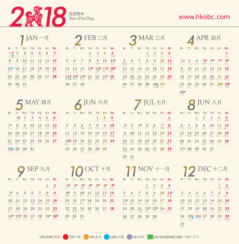

| $1$ JAN一月                                                                                                                            | <b>つFEB</b> 二月                                                                                                                       | <b>3 MAR 三月</b>                                                                                                                        | APR 四月                                                                                                        |
|--------------------------------------------------------------------------------------------------------------------------------------|--------------------------------------------------------------------------------------------------------------------------------------|----------------------------------------------------------------------------------------------------------------------------------------|---------------------------------------------------------------------------------------------------------------|
| M- T= W= TE Fi S* SH<br>122<br>$\mathbf{3}$<br>$\overline{4}$<br>5<br>6<br>$\overline{7}$<br>十五 <mark>。</mark> 十六 十七<br>十八 小寒 二十  廿一 | M- T= W= T四 F五 S六 SH<br>$\overline{2}$<br>3<br>1<br>4<br>十六 十七 十八 立春                                                                 | M- T= W= T四 F五 S六 SH<br>$\mathbf{1}$<br>$\overline{2}$<br>3<br>4<br>十四 十五 十六<br>十七                                                     | M- T= W= TE Fi S* SH<br>1<br>十六                                                                               |
| 9 <sub>10</sub><br>12<br>8<br>11<br>-13<br>14<br>廿三 廿四<br>廿五 廿六 廿七 廿八                                                                | $\overline{7}$<br>8<br>9<br>5<br>6<br><b>10</b><br>$11^{\circ}$<br>二十 廿一 廿二 廿三 廿四 廿五 廿六                                              | $\overline{7}$<br>8<br>9<br>10<br>5.<br>6<br>11<br>驚蟄 十九 二十 廿一<br>廿二 廿三<br>廿四                                                          | $7^{\circ}$ 8<br>$45$ 52 6 <sup>o</sup><br>$22 \t3$<br>十七 十八 十九 清明 廿一 廿二<br>廿三                                |
| 16<br>17<br>18<br><b>19</b><br>20<br>$15^{\circ}$<br>21<br>三十 臘月 初二 初三 大寒<br>廿九<br>初五                                                | 14 15° 16\$ 17\$ 18°<br>12<br>13<br>廿七 廿八 廿九 三十 春節 初二 初三                                                                             | 12<br>13<br>14 15<br>16<br>- 17<br>18<br>廿五 廿六 廿七 廿八 廿九 二月 初二                                                                          | 9<br>11<br>12 13 14<br>-15<br>10<br>廿五 廿六 廿七 廿八 廿九 三十<br>廿四                                                   |
| 25 26 27 28<br>初九 初十 十一 十二<br>23 24<br>初七 初八                                                                                         | 19: 20° 21° 22 23 24 25<br>雨水 初五 初六 初七 初八 初九 初十                                                                                      | 19<br>20 21 初四 春分<br>22 23 24 25<br>初六 初七 初八 初九<br>初三                                                                                  | 19<br>20<br>16<br>17<br>18<br>19 20 21 22<br>初四 穀雨 初六 初七<br>初二 初三<br>三月                                       |
| 30 31<br>29<br>十三 十四 十五                                                                                                              | 26 27 28<br>十一十二十三                                                                                                                   | 29<br>30 <sup>°</sup> 31 <sup>°</sup><br>26 27 28<br>初十 十一 十二 十三 十四 十五                                                                 | 28 29<br>24 25<br>26 27<br>23<br>初八 初九 初十 十一 十二 十三 十四                                                         |
|                                                                                                                                      |                                                                                                                                      |                                                                                                                                        | 30 <sup>o</sup><br>十五                                                                                         |
| 5 MAY 四月                                                                                                                             | 人JUN 六月                                                                                                                              | VUL七月                                                                                                                                  | 8 JUN 八月                                                                                                      |
| M- T= W= T四 F五 S六 SH<br>3<br>5<br>6<br>$1\degree$ 2<br>$\overline{4}$                                                                | M- T= W= T四 F五 S六 SH<br>$\mathbf{1}$<br>$\overline{2}$<br>3                                                                          | M- T= W= TE FE S* SE<br>1                                                                                                              | M- T= W= T四 F五 S六 SH<br>$\ensuremath{\mathsf{3}}$<br>$\overline{2}$<br>$\overline{a}$<br>$-5$<br>$\mathbf{1}$ |
| 十六 十七 十八 十九 立夏 廿一<br>13                                                                                                              | 十八十九<br>二十<br>10                                                                                                                     | 十八<br>8                                                                                                                                | 二十 廿一 廿二 廿三 廿四                                                                                                |
| 8 9 10 11 12<br>ザニー<br>廿八<br>15<br>19<br>20                                                                                          | 廿七<br>11 12 13 14<br>15<br>- 16<br>-17                                                                                               | $2^{\circ}$ 3 $4^{\circ}$ 5 6 7<br>$+ \hbar$ $\Rightarrow$ $+ \hbar$ $\Rightarrow$ $+ \hbar$ $\Rightarrow$ $+ \hbar$<br>廿五<br>10<br>15 | 6 7 8 9 10 11 12<br><b>THE 立秋 廿七 廿八 廿九 七月 初二</b><br>17<br>18<br>13<br>14<br><b>16</b><br>-19                  |
| <b>16</b><br>17<br>18<br>初三<br>廿九<br>四月 初二<br>初四<br>初五<br>初六                                                                         | 廿八 廿九<br>三十五月<br>初二 初三<br>初四                                                                                                         | 11 12<br>$\frac{13}{27}$<br>14<br>廿六 廿七<br>初二<br>初三                                                                                    | 15<br>初三<br>初四<br>初五 初六 初七<br>初八 初九                                                                           |
| 22° 23 24 25 26 27<br>初八 初九 初十 十一 十二 十三<br>夏滿                                                                                        | 18: 19 20 21<br>22 23<br>24<br>初五 初六 初七 夏至 初九 初十 十一                                                                                  | 19<br>16<br>17<br>18<br>20<br>21<br>22<br>初四 初五 初六 初七<br>初八 初九 初十                                                                      | 23<br>20<br>21<br>22<br>24 25 26<br>十四 十五 十六<br>初十 十一 十二                                                      |
| 28 29 30 31<br>十四 十五 十六 十七                                                                                                           | 25 26 27<br>28 29 30<br>十二 十三 十四 十五 十六 十七                                                                                            | 23    24    25    26    27    28    29<br>大暑    十二    十三    十四    十五    十六    十七                                                       | 27° 28 29 30 31<br>++ ++ ++ ++ =+ ++                                                                          |
|                                                                                                                                      |                                                                                                                                      | 30 31<br>十八 十九                                                                                                                         |                                                                                                               |
| Q SEP 九月                                                                                                                             | OCT 十月                                                                                                                               | 11 NOV + - A 12 DEC + = A                                                                                                              |                                                                                                               |
| M- T= W= T四 F五 S六 SH                                                                                                                 | M- T= W= T四 F五 S六 S日                                                                                                                 | M- T= W= T四 F五 S六 SH                                                                                                                   | M- T= W= T四 F五 S六 SH                                                                                          |
| 1<br>$\overline{2}$<br>廿二 廿三                                                                                                         | 5 <sup>o</sup><br>12<br>$2^{\bullet}$<br>3 <sup>°</sup><br>$6^{\circ}$<br>7 <sup>°</sup><br>$4^{\bullet}$<br>廿四 廿五 廿六 廿七 廿八<br>廿二 廿三 | 3<br>$\overline{\mathbf{A}}$<br>$\mathbf{1}$<br>$\overline{2}$<br>廿五 廿六 廿七<br>廿四                                                       | $\mathbf{1}$<br>$\overline{\mathbf{2}}$<br>廿四 廿五                                                              |
| $3^{\bullet}$<br>5<br>8<br>9<br>$\overline{4}$<br>6<br>7<br>廿四 廿五 廿六 廿七 廿八 白露 三十                                                     | $8^{\bullet}$<br>9<br>$10 \quad 11$<br>12 13<br>14<br>寒露 九月<br>初二 初三 初四 初五 初六                                                        | $\overline{7}$<br>8<br>9<br>10<br>5.<br>$-11^{\circ}$<br>6<br>廿八 廿九 立冬 十月 初二 初三 初四                                                     | $\mathbf{9}$<br>3<br>5<br>$\overline{7}$<br>8<br>$\overline{4}$<br>6<br>廿六 廿七 廿八 廿九 大雪 初二 初三                  |
| 11 12 13 14 15<br>- 16<br>10<br>初四 初五<br>八月<br>初二 初三<br>初六 初七                                                                        | $17^{\circ} 18$<br>15 16<br>19<br>20<br>21<br>初七 初八<br>初九 初十<br>一十一二十二二十三                                                            | 15<br>$12^{\circ}$ 13<br>14<br>16 17 18<br>初五 初六 初七 初八<br>初九 初十 十一                                                                     | 15 16<br>11 12 13 14<br>10<br>初五 初六 初七 初八<br>初九 初十<br>初四                                                      |
| 17 18 19<br>20<br>22 23<br>21<br>初八 初九 初十 十一 十二<br>十三 秋分                                                                             | 22 23<br>24 25<br>28<br>26 27<br>十四 霜降 十六 十七 十八 十九 二十                                                                                | 19<br>20<br>21<br>$22^{\circ}$ 23 $^{\circ}$ 24<br>25<br>十四 小雪 十六 十七 十八<br>十二 十三                                                       | 22 23<br>18 19<br>20 <sub>2</sub><br>21<br>17 <sup>7</sup><br>十一 十二 十三 十四 十五<br>冬至十七                          |
| $24^{\circ}$ 25 $\frac{1}{8}$ 26 27 28<br>29 30<br>十五 十六 十七 十八 十九<br>二十二廿一                                                           | 29 30<br>31<br>廿一 廿二 廿三                                                                                                              | 26 27 28 29<br>30<br>十九 二十 廿一 廿二 廿三                                                                                                    | 24 25 26 27 28<br>29 30<br>十八 十九 二十 廿一 廿二 廿三 廿四                                                               |
|                                                                                                                                      |                                                                                                                                      |                                                                                                                                        | 31<br>廿五                                                                                                      |